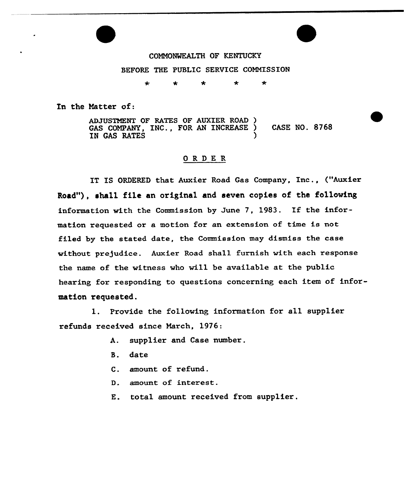

COMMONWEALTH OF KENTUCKY BEFORE THE PUBLIC SERVICE COMMISSION

> $\star$  $\star$  $\star$  $\mathbf{r}$  $\bullet$

In the Matter of:

ADJUSTMENT OF RATES OF AUXIER ROAD ) GAS COMPANY, INC., FOR AN INCREASE ) CASE NO. 8768 IN GAS RATES

## ORDER

IT IS ORDERED that Auxier Road Gas Company, Inc., {"Auxier Road"), shall file an original and seven copies of the following information with the Commission by June 7, 1983. If the information requested or a motion for an extension of time is not filed by the stated date, the Commission may dismiss the case without prejudice. Auxier Road shall furnish with each response the name of the witness who will be available at the public hearing for responding to questions concerning each item of information requested.

1. Provide the following information for all supplier refunds received since March, 1976:

- A. supplier and Case number.
- B. date
- C. amount of refund.
- D. amount of interest.
- E. total amount received from supplier.